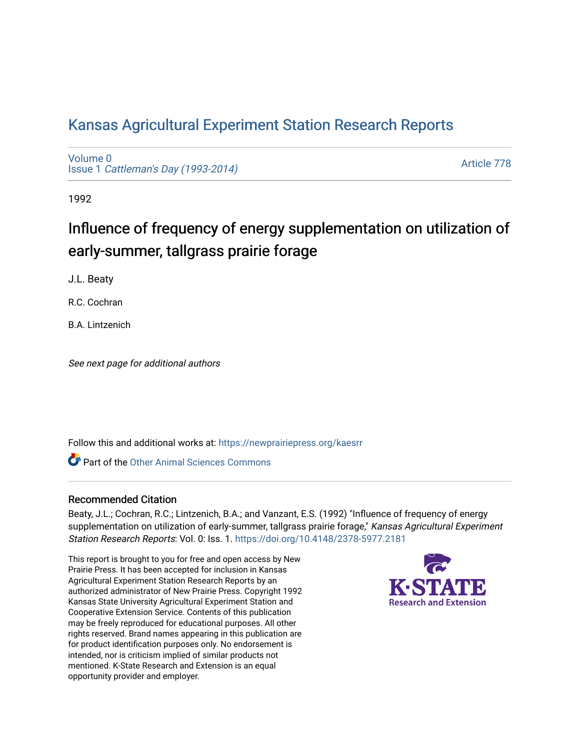# [Kansas Agricultural Experiment Station Research Reports](https://newprairiepress.org/kaesrr)

[Volume 0](https://newprairiepress.org/kaesrr/vol0) Issue 1 [Cattleman's Day \(1993-2014\)](https://newprairiepress.org/kaesrr/vol0/iss1) 

[Article 778](https://newprairiepress.org/kaesrr/vol0/iss1/778) 

1992

# Influence of frequency of energy supplementation on utilization of early-summer, tallgrass prairie forage

J.L. Beaty

R.C. Cochran

B.A. Lintzenich

See next page for additional authors

Follow this and additional works at: [https://newprairiepress.org/kaesrr](https://newprairiepress.org/kaesrr?utm_source=newprairiepress.org%2Fkaesrr%2Fvol0%2Fiss1%2F778&utm_medium=PDF&utm_campaign=PDFCoverPages) 

**C** Part of the [Other Animal Sciences Commons](http://network.bepress.com/hgg/discipline/82?utm_source=newprairiepress.org%2Fkaesrr%2Fvol0%2Fiss1%2F778&utm_medium=PDF&utm_campaign=PDFCoverPages)

#### Recommended Citation

Beaty, J.L.; Cochran, R.C.; Lintzenich, B.A.; and Vanzant, E.S. (1992) "Influence of frequency of energy supplementation on utilization of early-summer, tallgrass prairie forage," Kansas Agricultural Experiment Station Research Reports: Vol. 0: Iss. 1.<https://doi.org/10.4148/2378-5977.2181>

This report is brought to you for free and open access by New Prairie Press. It has been accepted for inclusion in Kansas Agricultural Experiment Station Research Reports by an authorized administrator of New Prairie Press. Copyright 1992 Kansas State University Agricultural Experiment Station and Cooperative Extension Service. Contents of this publication may be freely reproduced for educational purposes. All other rights reserved. Brand names appearing in this publication are for product identification purposes only. No endorsement is intended, nor is criticism implied of similar products not mentioned. K-State Research and Extension is an equal opportunity provider and employer.

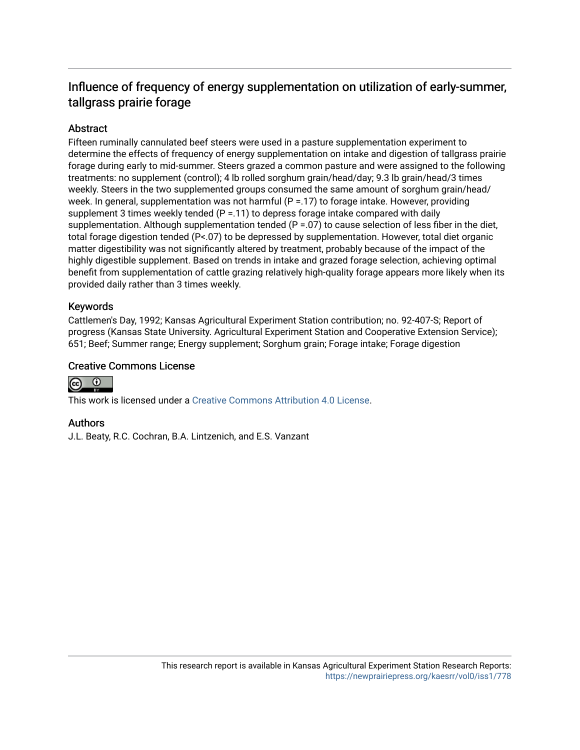# Influence of frequency of energy supplementation on utilization of early-summer, tallgrass prairie forage

## **Abstract**

Fifteen ruminally cannulated beef steers were used in a pasture supplementation experiment to determine the effects of frequency of energy supplementation on intake and digestion of tallgrass prairie forage during early to mid-summer. Steers grazed a common pasture and were assigned to the following treatments: no supplement (control); 4 lb rolled sorghum grain/head/day; 9.3 lb grain/head/3 times weekly. Steers in the two supplemented groups consumed the same amount of sorghum grain/head/ week. In general, supplementation was not harmful  $(P = 17)$  to forage intake. However, providing supplement 3 times weekly tended (P = .11) to depress forage intake compared with daily supplementation. Although supplementation tended  $(P = .07)$  to cause selection of less fiber in the diet, total forage digestion tended (P<.07) to be depressed by supplementation. However, total diet organic matter digestibility was not significantly altered by treatment, probably because of the impact of the highly digestible supplement. Based on trends in intake and grazed forage selection, achieving optimal benefit from supplementation of cattle grazing relatively high-quality forage appears more likely when its provided daily rather than 3 times weekly.

## Keywords

Cattlemen's Day, 1992; Kansas Agricultural Experiment Station contribution; no. 92-407-S; Report of progress (Kansas State University. Agricultural Experiment Station and Cooperative Extension Service); 651; Beef; Summer range; Energy supplement; Sorghum grain; Forage intake; Forage digestion

### Creative Commons License



This work is licensed under a [Creative Commons Attribution 4.0 License](https://creativecommons.org/licenses/by/4.0/).

#### Authors

J.L. Beaty, R.C. Cochran, B.A. Lintzenich, and E.S. Vanzant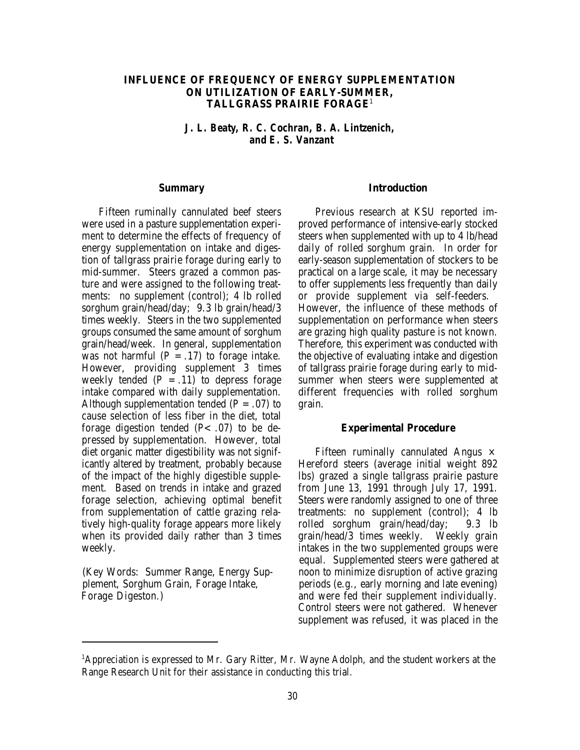#### **INFLUENCE OF FREQUENCY OF ENERGY SUPPLEMENTATION ON UTILIZATION OF EARLY-SUMMER, TALLGRASS PRAIRIE FORAGE**<sup>1</sup>

*J. L. Beaty, R. C. Cochran, B. A. Lintzenich, and E. S. Vanzant*

#### **Summary**

Fifteen ruminally cannulated beef steers were used in a pasture supplementation experiment to determine the effects of frequency of energy supplementation on intake and digestion of tallgrass prairie forage during early to mid-summer. Steers grazed a common pasture and were assigned to the following treatments: no supplement (control); 4 lb rolled sorghum grain/head/day; 9.3 lb grain/head/3 times weekly. Steers in the two supplemented groups consumed the same amount of sorghum grain/head/week. In general, supplementation was not harmful  $(P = .17)$  to forage intake. However, providing supplement 3 times weekly tended  $(P = .11)$  to depress forage intake compared with daily supplementation. Although supplementation tended  $(P = .07)$  to cause selection of less fiber in the diet, total forage digestion tended  $(P<.07)$  to be depressed by supplementation. However, total diet organic matter digestibility was not significantly altered by treatment, probably because of the impact of the highly digestible supplement. Based on trends in intake and grazed forage selection, achieving optimal benefit from supplementation of cattle grazing relatively high-quality forage appears more likely when its provided daily rather than 3 times weekly.

#### **Introduction**

Previous research at KSU reported improved performance of intensive-early stocked steers when supplemented with up to 4 lb/head daily of rolled sorghum grain. In order for early-season supplementation of stockers to be practical on a large scale, it may be necessary to offer supplements less frequently than daily or provide supplement via self-feeders. However, the influence of these methods of supplementation on performance when steers are grazing high quality pasture is not known. Therefore, this experiment was conducted with the objective of evaluating intake and digestion of tallgrass prairie forage during early to midsummer when steers were supplemented at different frequencies with rolled sorghum grain.

#### **Experimental Procedure**

Fifteen ruminally cannulated Angus  $\times$ Hereford steers (average initial weight 892 lbs) grazed a single tallgrass prairie pasture from June 13, 1991 through July 17, 1991. Steers were randomly assigned to one of three treatments: no supplement (control); 4 lb rolled sorghum grain/head/day; 9.3 lb grain/head/3 times weekly. Weekly grain intakes in the two supplemented groups were equal. Supplemented steers were gathered at (Key Words: Summer Range, Energy Sup- noon to minimize disruption of active grazing plement, Sorghum Grain, Forage Intake, periods (e.g., early morning and late evening)<br>Forage Digeston.) and were fed their supplement individually. and were fed their supplement individually. Control steers were not gathered. Whenever supplement was refused, it was placed in the

 ${}^{1}$ Appreciation is expressed to Mr. Gary Ritter, Mr. Wayne Adolph, and the student workers at the Range Research Unit for their assistance in conducting this trial.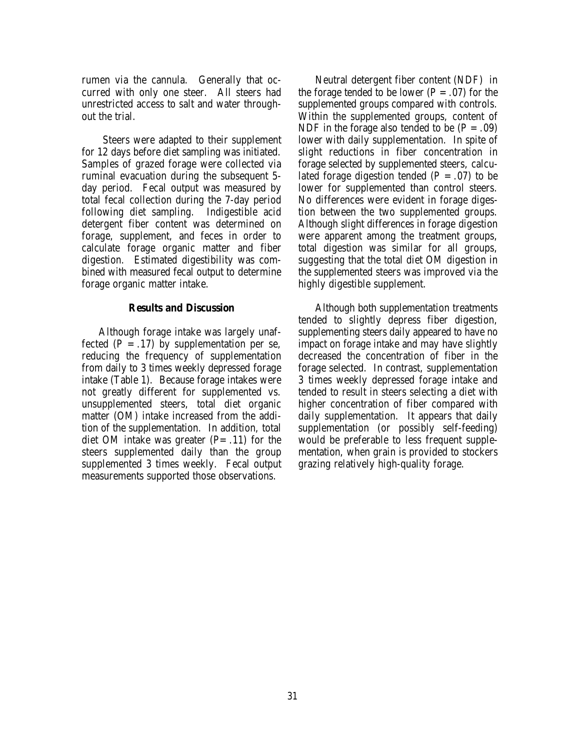rumen via the cannula. Generally that occurred with only one steer. All steers had unrestricted access to salt and water throughout the trial.

 Steers were adapted to their supplement for 12 days before diet sampling was initiated. Samples of grazed forage were collected via ruminal evacuation during the subsequent 5 day period. Fecal output was measured by total fecal collection during the 7-day period following diet sampling. Indigestible acid detergent fiber content was determined on forage, supplement, and feces in order to calculate forage organic matter and fiber digestion. Estimated digestibility was combined with measured fecal output to determine forage organic matter intake.

#### **Results and Discussion**

Although forage intake was largely unaffected  $(P = .17)$  by supplementation per se, reducing the frequency of supplementation from daily to 3 times weekly depressed forage intake (Table 1). Because forage intakes were not greatly different for supplemented vs. unsupplemented steers, total diet organic matter (OM) intake increased from the addition of the supplementation. In addition, total diet OM intake was greater  $(P=.11)$  for the steers supplemented daily than the group supplemented 3 times weekly. Fecal output measurements supported those observations.

Neutral detergent fiber content (NDF) in the forage tended to be lower  $(P = .07)$  for the supplemented groups compared with controls. Within the supplemented groups, content of NDF in the forage also tended to be  $(P = .09)$ lower with daily supplementation. In spite of slight reductions in fiber concentration in forage selected by supplemented steers, calculated forage digestion tended  $(P = .07)$  to be lower for supplemented than control steers. No differences were evident in forage digestion between the two supplemented groups. Although slight differences in forage digestion were apparent among the treatment groups, total digestion was similar for all groups, suggesting that the total diet OM digestion in the supplemented steers was improved via the highly digestible supplement.

Although both supplementation treatments tended to slightly depress fiber digestion, supplementing steers daily appeared to have no impact on forage intake and may have slightly decreased the concentration of fiber in the forage selected. In contrast, supplementation 3 times weekly depressed forage intake and tended to result in steers selecting a diet with higher concentration of fiber compared with daily supplementation. It appears that daily supplementation (or possibly self-feeding) would be preferable to less frequent supplementation, when grain is provided to stockers grazing relatively high-quality forage.